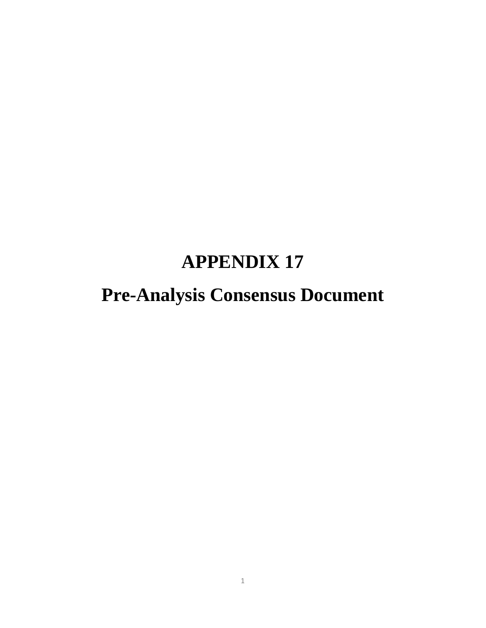# **APPENDIX 17**

# **Pre-Analysis Consensus Document**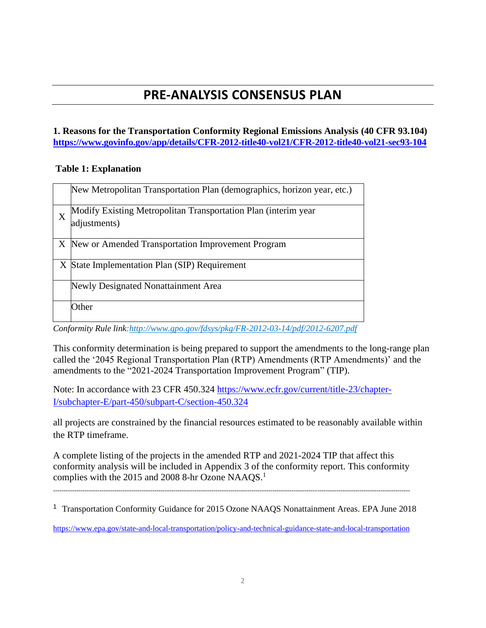# **PRE-ANALYSIS CONSENSUS PLAN**

# **1. Reasons for the Transportation Conformity Regional Emissions Analysis (40 CFR 93.104) <https://www.govinfo.gov/app/details/CFR-2012-title40-vol21/CFR-2012-title40-vol21-sec93-104>**

# **Table 1: Explanation**

|   | New Metropolitan Transportation Plan (demographics, horizon year, etc.)                                                                                                                                                                                                         |
|---|---------------------------------------------------------------------------------------------------------------------------------------------------------------------------------------------------------------------------------------------------------------------------------|
| X | Modify Existing Metropolitan Transportation Plan (interim year<br>adjustments)                                                                                                                                                                                                  |
|   | X New or Amended Transportation Improvement Program                                                                                                                                                                                                                             |
|   | X State Implementation Plan (SIP) Requirement                                                                                                                                                                                                                                   |
|   | Newly Designated Nonattainment Area                                                                                                                                                                                                                                             |
|   | Other                                                                                                                                                                                                                                                                           |
|   | $C_{11}$ , $C_{21}$ , $D_{11}$ , $D_{12}$ , $D_{13}$ , $D_{14}$ , $D_{15}$ , $D_{16}$ , $D_{17}$ , $D_{18}$ , $D_{19}$ , $D_{10}$ , $D_{11}$ , $D_{10}$ , $D_{11}$ , $D_{10}$ , $D_{11}$ , $D_{10}$ , $D_{11}$ , $D_{10}$ , $D_{11}$ , $D_{10}$ , $D_{11}$ , $D_{10}$ , $D_{11$ |

*Conformity Rule link[:http://www.gpo.gov/fdsys/pkg/FR-2012-03-14/pdf/2012-6207.pdf](http://www.gpo.gov/fdsys/pkg/FR-2012-03-14/pdf/2012-6207.pdf)*

This conformity determination is being prepared to support the amendments to the long-range plan called the '2045 Regional Transportation Plan (RTP) Amendments (RTP Amendments)' and the amendments to the "2021-2024 Transportation Improvement Program" (TIP).

Note: In accordance with 23 CFR 450.324 [https://www.ecfr.gov/current/title-23/chapter-](https://www.ecfr.gov/current/title-23/chapter-I/subchapter-E/part-450/subpart-C/section-450.324)[I/subchapter-E/part-450/subpart-C/section-450.324](https://www.ecfr.gov/current/title-23/chapter-I/subchapter-E/part-450/subpart-C/section-450.324)

all projects are constrained by the financial resources estimated to be reasonably available within the RTP timeframe.

A complete listing of the projects in the amended RTP and 2021-2024 TIP that affect this conformity analysis will be included in Appendix 3 of the conformity report. This conformity complies with the 2015 and 2008 8-hr Ozone NAAQS.<sup>1</sup>

-------------------------------------------------------------------------------------------------------------------------------------------------------------------------

<sup>1</sup> Transportation Conformity Guidance for 2015 Ozone NAAQS Nonattainment Areas. EPA June 2018

<https://www.epa.gov/state-and-local-transportation/policy-and-technical-guidance-state-and-local-transportation>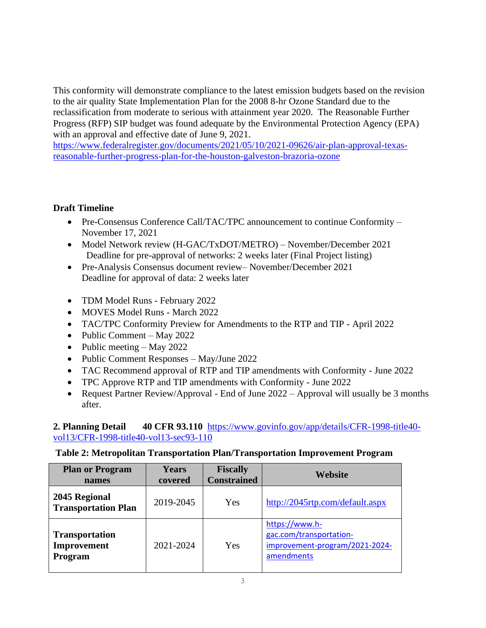This conformity will demonstrate compliance to the latest emission budgets based on the revision to the air quality State Implementation Plan for the 2008 8-hr Ozone Standard due to the reclassification from moderate to serious with attainment year 2020. The Reasonable Further Progress (RFP) SIP budget was found adequate by the Environmental Protection Agency (EPA) with an approval and effective date of June 9, 2021.

[https://www.federalregister.gov/documents/2021/05/10/2021-09626/air-plan-approval-texas](https://www.federalregister.gov/documents/2021/05/10/2021-09626/air-plan-approval-texas-reasonable-further-progress-plan-for-the-houston-galveston-brazoria-ozone)[reasonable-further-progress-plan-for-the-houston-galveston-brazoria-ozone](https://www.federalregister.gov/documents/2021/05/10/2021-09626/air-plan-approval-texas-reasonable-further-progress-plan-for-the-houston-galveston-brazoria-ozone)

# **Draft Timeline**

- Pre-Consensus Conference Call/TAC/TPC announcement to continue Conformity November 17, 2021
- Model Network review (H-GAC/TxDOT/METRO) November/December 2021 Deadline for pre-approval of networks: 2 weeks later (Final Project listing)
- Pre-Analysis Consensus document review– November/December 2021 Deadline for approval of data: 2 weeks later
- TDM Model Runs February 2022
- MOVES Model Runs March 2022
- TAC/TPC Conformity Preview for Amendments to the RTP and TIP April 2022
- Public Comment May 2022
- Public meeting May 2022
- Public Comment Responses May/June 2022
- TAC Recommend approval of RTP and TIP amendments with Conformity June 2022
- TPC Approve RTP and TIP amendments with Conformity June 2022
- Request Partner Review/Approval End of June 2022 Approval will usually be 3 months after.

# **2. Planning Detail 40 CFR 93.110** [https://www.govinfo.gov/app/details/CFR-1998-title40](https://www.govinfo.gov/app/details/CFR-1998-title40-vol13/CFR-1998-title40-vol13-sec93-110) [vol13/CFR-1998-title40-vol13-sec93-110](https://www.govinfo.gov/app/details/CFR-1998-title40-vol13/CFR-1998-title40-vol13-sec93-110)

# **Table 2: Metropolitan Transportation Plan/Transportation Improvement Program**

| <b>Plan or Program</b><br>names                 | <b>Years</b><br>covered | <b>Fiscally</b><br><b>Constrained</b> | Website                                                                                   |
|-------------------------------------------------|-------------------------|---------------------------------------|-------------------------------------------------------------------------------------------|
| 2045 Regional<br><b>Transportation Plan</b>     | 2019-2045               | Yes                                   | http://2045rtp.com/default.aspx                                                           |
| <b>Transportation</b><br>Improvement<br>Program | 2021-2024               | Yes                                   | https://www.h-<br>gac.com/transportation-<br>improvement-program/2021-2024-<br>amendments |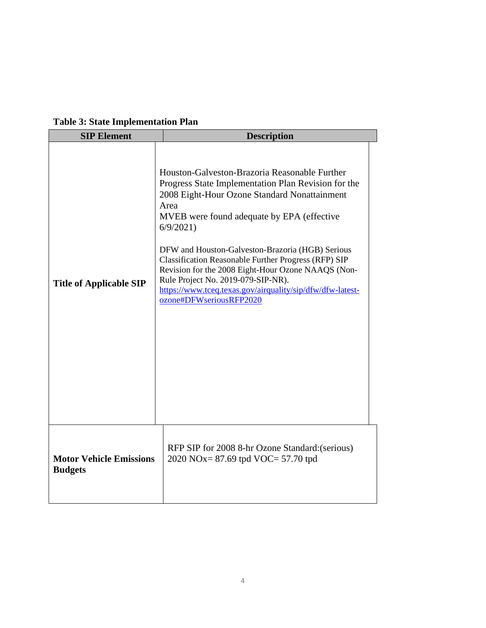| <b>Table 3: State Implementation Plan</b> |
|-------------------------------------------|
|-------------------------------------------|

| <b>SIP Element</b>                               | <b>Description</b>                                                                                                                                                                                                                                                                                                                                                                                                                                                                                                            |
|--------------------------------------------------|-------------------------------------------------------------------------------------------------------------------------------------------------------------------------------------------------------------------------------------------------------------------------------------------------------------------------------------------------------------------------------------------------------------------------------------------------------------------------------------------------------------------------------|
| <b>Title of Applicable SIP</b>                   | Houston-Galveston-Brazoria Reasonable Further<br>Progress State Implementation Plan Revision for the<br>2008 Eight-Hour Ozone Standard Nonattainment<br>Area<br>MVEB were found adequate by EPA (effective<br>6/9/2021<br>DFW and Houston-Galveston-Brazoria (HGB) Serious<br><b>Classification Reasonable Further Progress (RFP) SIP</b><br>Revision for the 2008 Eight-Hour Ozone NAAQS (Non-<br>Rule Project No. 2019-079-SIP-NR).<br>https://www.tceq.texas.gov/airquality/sip/dfw/dfw-latest-<br>ozone#DFWseriousRFP2020 |
| <b>Motor Vehicle Emissions</b><br><b>Budgets</b> | RFP SIP for 2008 8-hr Ozone Standard: (serious)<br>2020 NOx= $87.69$ tpd VOC= $57.70$ tpd                                                                                                                                                                                                                                                                                                                                                                                                                                     |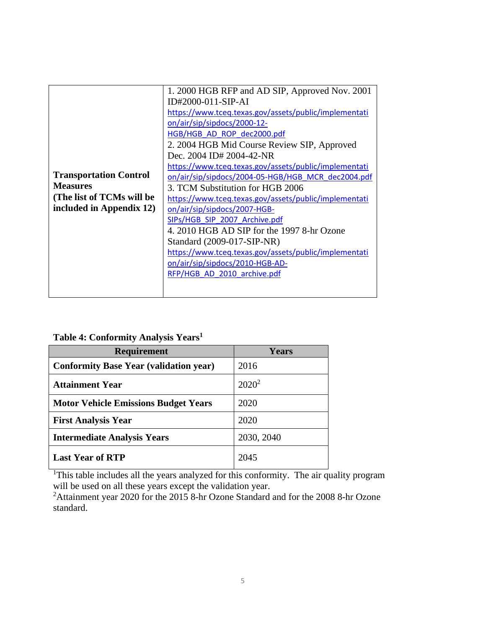|                               | 1.2000 HGB RFP and AD SIP, Approved Nov. 2001         |
|-------------------------------|-------------------------------------------------------|
|                               | ID#2000-011-SIP-AI                                    |
|                               | https://www.tceq.texas.gov/assets/public/implementati |
|                               | on/air/sip/sipdocs/2000-12-                           |
|                               | HGB/HGB AD ROP dec2000.pdf                            |
|                               | 2. 2004 HGB Mid Course Review SIP, Approved           |
|                               | Dec. 2004 ID# 2004-42-NR                              |
|                               | https://www.tceq.texas.gov/assets/public/implementati |
| <b>Transportation Control</b> | on/air/sip/sipdocs/2004-05-HGB/HGB MCR dec2004.pdf    |
| <b>Measures</b>               | 3. TCM Substitution for HGB 2006                      |
| (The list of TCMs will be     | https://www.tceq.texas.gov/assets/public/implementati |
| included in Appendix 12)      | on/air/sip/sipdocs/2007-HGB-                          |
|                               | SIPs/HGB SIP 2007 Archive.pdf                         |
|                               | 4. 2010 HGB AD SIP for the 1997 8-hr Ozone            |
|                               | Standard (2009-017-SIP-NR)                            |
|                               | https://www.tceq.texas.gov/assets/public/implementati |
|                               | on/air/sip/sipdocs/2010-HGB-AD-                       |
|                               | RFP/HGB AD 2010 archive.pdf                           |
|                               |                                                       |
|                               |                                                       |

**Table 4: Conformity Analysis Years<sup>1</sup>**

| <b>Requirement</b>                            | <b>Years</b> |
|-----------------------------------------------|--------------|
| <b>Conformity Base Year (validation year)</b> | 2016         |
| <b>Attainment Year</b>                        | $2020^2$     |
| <b>Motor Vehicle Emissions Budget Years</b>   | 2020         |
| <b>First Analysis Year</b>                    | 2020         |
| <b>Intermediate Analysis Years</b>            | 2030, 2040   |
| <b>Last Year of RTP</b>                       | 2045         |

<sup>1</sup>This table includes all the years analyzed for this conformity. The air quality program will be used on all these years except the validation year.

 $2$ Attainment year 2020 for the 2015 8-hr Ozone Standard and for the 2008 8-hr Ozone standard.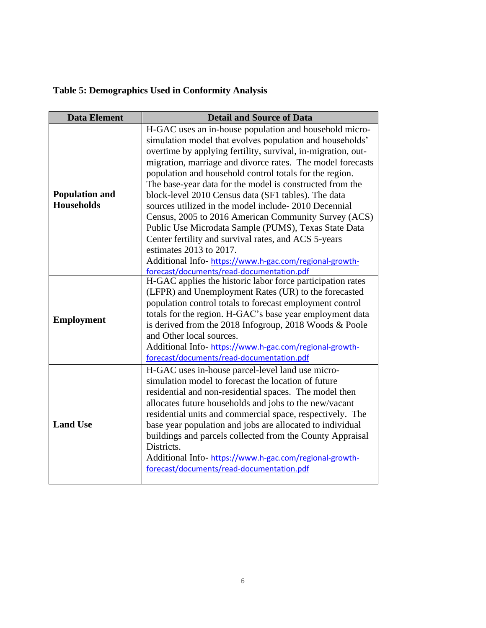# **Table 5: Demographics Used in Conformity Analysis**

| <b>Data Element</b>                        | <b>Detail and Source of Data</b>                                                                                                                                                                                                                                                                                                                                                                                                                                                                                                                                                                                                                                                                                                                                                                      |
|--------------------------------------------|-------------------------------------------------------------------------------------------------------------------------------------------------------------------------------------------------------------------------------------------------------------------------------------------------------------------------------------------------------------------------------------------------------------------------------------------------------------------------------------------------------------------------------------------------------------------------------------------------------------------------------------------------------------------------------------------------------------------------------------------------------------------------------------------------------|
| <b>Population and</b><br><b>Households</b> | H-GAC uses an in-house population and household micro-<br>simulation model that evolves population and households'<br>overtime by applying fertility, survival, in-migration, out-<br>migration, marriage and divorce rates. The model forecasts<br>population and household control totals for the region.<br>The base-year data for the model is constructed from the<br>block-level 2010 Census data (SF1 tables). The data<br>sources utilized in the model include-2010 Decennial<br>Census, 2005 to 2016 American Community Survey (ACS)<br>Public Use Microdata Sample (PUMS), Texas State Data<br>Center fertility and survival rates, and ACS 5-years<br>estimates $2013$ to $2017$ .<br>Additional Info-https://www.h-gac.com/regional-growth-<br>forecast/documents/read-documentation.pdf |
| <b>Employment</b>                          | H-GAC applies the historic labor force participation rates<br>(LFPR) and Unemployment Rates (UR) to the forecasted<br>population control totals to forecast employment control<br>totals for the region. H-GAC's base year employment data<br>is derived from the 2018 Infogroup, 2018 Woods & Poole<br>and Other local sources.<br>Additional Info-https://www.h-gac.com/regional-growth-<br>forecast/documents/read-documentation.pdf                                                                                                                                                                                                                                                                                                                                                               |
| <b>Land Use</b>                            | H-GAC uses in-house parcel-level land use micro-<br>simulation model to forecast the location of future<br>residential and non-residential spaces. The model then<br>allocates future households and jobs to the new/vacant<br>residential units and commercial space, respectively. The<br>base year population and jobs are allocated to individual<br>buildings and parcels collected from the County Appraisal<br>Districts.<br>Additional Info-https://www.h-gac.com/regional-growth-<br>forecast/documents/read-documentation.pdf                                                                                                                                                                                                                                                               |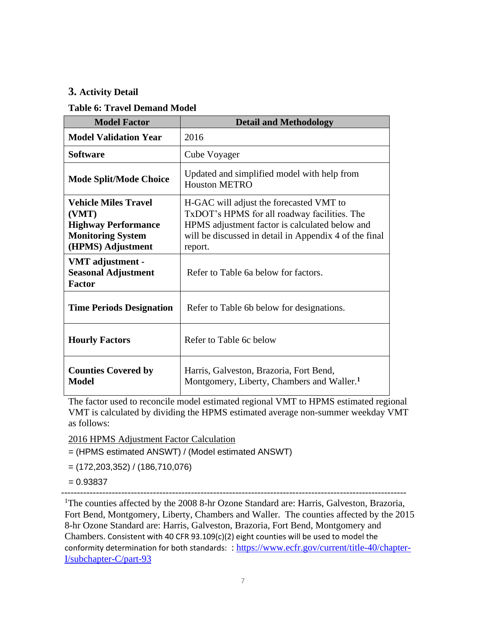# **3. Activity Detail**

#### **Table 6: Travel Demand Model**

| <b>Model Factor</b>                                                                                                 | <b>Detail and Methodology</b>                                                                                                                                                                                  |
|---------------------------------------------------------------------------------------------------------------------|----------------------------------------------------------------------------------------------------------------------------------------------------------------------------------------------------------------|
| <b>Model Validation Year</b>                                                                                        | 2016                                                                                                                                                                                                           |
| <b>Software</b>                                                                                                     | Cube Voyager                                                                                                                                                                                                   |
| <b>Mode Split/Mode Choice</b>                                                                                       | Updated and simplified model with help from<br><b>Houston METRO</b>                                                                                                                                            |
| <b>Vehicle Miles Travel</b><br>(VMT)<br><b>Highway Performance</b><br><b>Monitoring System</b><br>(HPMS) Adjustment | H-GAC will adjust the forecasted VMT to<br>TxDOT's HPMS for all roadway facilities. The<br>HPMS adjustment factor is calculated below and<br>will be discussed in detail in Appendix 4 of the final<br>report. |
| VMT adjustment -<br><b>Seasonal Adjustment</b><br><b>Factor</b>                                                     | Refer to Table 6a below for factors.                                                                                                                                                                           |
| <b>Time Periods Designation</b>                                                                                     | Refer to Table 6b below for designations.                                                                                                                                                                      |
| <b>Hourly Factors</b>                                                                                               | Refer to Table 6c below                                                                                                                                                                                        |
| <b>Counties Covered by</b><br>Model                                                                                 | Harris, Galveston, Brazoria, Fort Bend,<br>Montgomery, Liberty, Chambers and Waller. <sup>1</sup>                                                                                                              |

The factor used to reconcile model estimated regional VMT to HPMS estimated regional VMT is calculated by dividing the HPMS estimated average non-summer weekday VMT as follows:

2016 HPMS Adjustment Factor Calculation

- = (HPMS estimated ANSWT) / (Model estimated ANSWT)
- = (172,203,352) / (186,710,076)
- $= 0.93837$

-------------------------------------------------------------------------------------------------------------

<sup>1</sup>The counties affected by the 2008 8-hr Ozone Standard are: Harris, Galveston, Brazoria, Fort Bend, Montgomery, Liberty, Chambers and Waller. The counties affected by the 2015 8-hr Ozone Standard are: Harris, Galveston, Brazoria, Fort Bend, Montgomery and Chambers. Consistent with 40 CFR 93.109(c)(2) eight counties will be used to model the conformity determination for both standards: : [https://www.ecfr.gov/current/title-40/chapter-](https://www.ecfr.gov/current/title-40/chapter-I/subchapter-C/part-93)[I/subchapter-C/part-93](https://www.ecfr.gov/current/title-40/chapter-I/subchapter-C/part-93)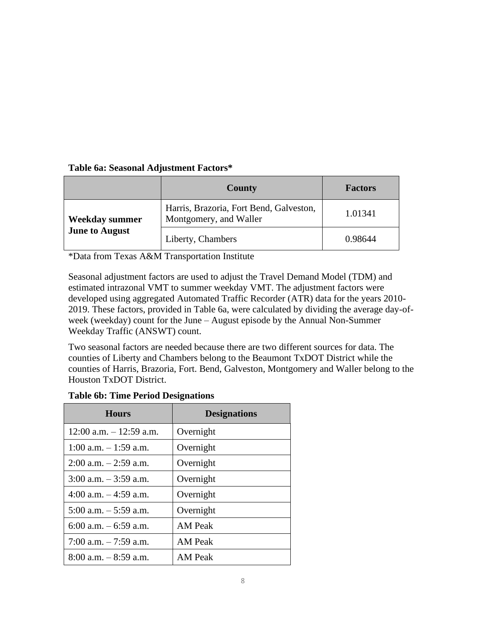# **Table 6a: Seasonal Adjustment Factors\***

|                       | <b>County</b>                                                     | <b>Factors</b> |
|-----------------------|-------------------------------------------------------------------|----------------|
| Weekday summer        | Harris, Brazoria, Fort Bend, Galveston,<br>Montgomery, and Waller | 1.01341        |
| <b>June to August</b> | Liberty, Chambers                                                 | 0.98644        |

\*Data from Texas A&M Transportation Institute

Seasonal adjustment factors are used to adjust the Travel Demand Model (TDM) and estimated intrazonal VMT to summer weekday VMT. The adjustment factors were developed using aggregated Automated Traffic Recorder (ATR) data for the years 2010- 2019. These factors, provided in Table 6a, were calculated by dividing the average day-ofweek (weekday) count for the June – August episode by the Annual Non-Summer Weekday Traffic (ANSWT) count.

Two seasonal factors are needed because there are two different sources for data. The counties of Liberty and Chambers belong to the Beaumont TxDOT District while the counties of Harris, Brazoria, Fort. Bend, Galveston, Montgomery and Waller belong to the Houston TxDOT District.

| <b>Table 6b: Time Period Designations</b> |  |  |  |  |  |  |
|-------------------------------------------|--|--|--|--|--|--|
|-------------------------------------------|--|--|--|--|--|--|

| <b>Hours</b>               | <b>Designations</b> |
|----------------------------|---------------------|
| $12:00$ a.m. $-12:59$ a.m. | Overnight           |
| $1:00$ a.m. $-1:59$ a.m.   | Overnight           |
| $2:00$ a.m. $-2:59$ a.m.   | Overnight           |
| 3:00 a.m. $-3:59$ a.m.     | Overnight           |
| 4:00 a.m. $-4:59$ a.m.     | Overnight           |
| $5:00$ a.m. $-5:59$ a.m.   | Overnight           |
| $6:00$ a.m. $-6:59$ a.m.   | <b>AM</b> Peak      |
| 7:00 a.m. $-7:59$ a.m.     | <b>AM</b> Peak      |
| $8:00$ a.m. $-8:59$ a.m.   | <b>AM Peak</b>      |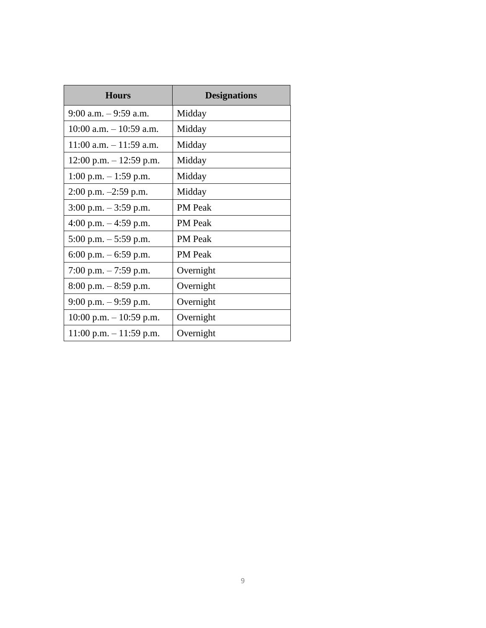| <b>Hours</b>               | <b>Designations</b> |
|----------------------------|---------------------|
| $9:00$ a.m. $-9:59$ a.m.   | Midday              |
| $10:00$ a.m. $-10:59$ a.m. | Midday              |
| $11:00$ a.m. $-11:59$ a.m. | Midday              |
| $12:00$ p.m. $-12:59$ p.m. | Midday              |
| $1:00$ p.m. $-1:59$ p.m.   | Midday              |
| $2:00$ p.m. $-2:59$ p.m.   | Midday              |
| 3:00 p.m. $-$ 3:59 p.m.    | <b>PM</b> Peak      |
| 4:00 p.m. $-$ 4:59 p.m.    | <b>PM</b> Peak      |
| 5:00 p.m. $-$ 5:59 p.m.    | PM Peak             |
| 6:00 p.m. $-$ 6:59 p.m.    | <b>PM</b> Peak      |
| 7:00 p.m. $-7:59$ p.m.     | Overnight           |
| $8:00$ p.m. $-8:59$ p.m.   | Overnight           |
| 9:00 p.m. $-$ 9:59 p.m.    | Overnight           |
| $10:00$ p.m. $-10:59$ p.m. | Overnight           |
| $11:00$ p.m. $-11:59$ p.m. | Overnight           |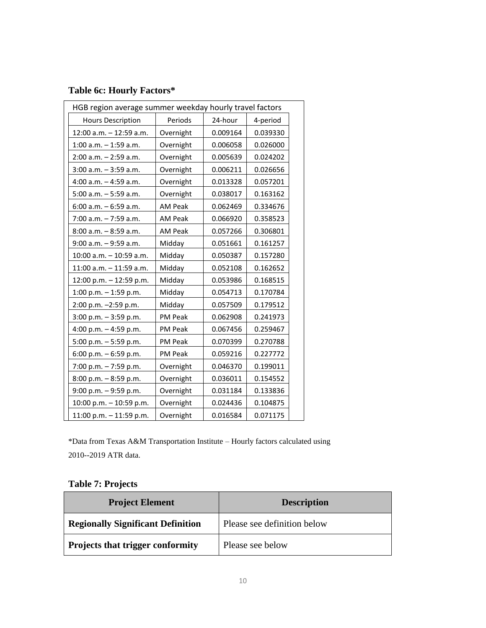# **Table 6c: Hourly Factors\***

| HGB region average summer weekday hourly travel factors |                |          |          |  |
|---------------------------------------------------------|----------------|----------|----------|--|
| <b>Hours Description</b>                                | Periods        | 24-hour  | 4-period |  |
| 12:00 a.m. - 12:59 a.m.                                 | Overnight      | 0.009164 | 0.039330 |  |
| $1:00$ a.m. $-1:59$ a.m.                                | Overnight      | 0.006058 | 0.026000 |  |
| $2:00$ a.m. $-2:59$ a.m.                                | Overnight      | 0.005639 | 0.024202 |  |
| $3:00$ a.m. $-3:59$ a.m.                                | Overnight      | 0.006211 | 0.026656 |  |
| $4:00$ a.m. $-4:59$ a.m.                                | Overnight      | 0.013328 | 0.057201 |  |
| 5:00 a.m. - 5:59 a.m.                                   | Overnight      | 0.038017 | 0.163162 |  |
| $6:00$ a.m. $-6:59$ a.m.                                | AM Peak        | 0.062469 | 0.334676 |  |
| $7:00$ a.m. $-7:59$ a.m.                                | AM Peak        | 0.066920 | 0.358523 |  |
| 8:00 a.m. - 8:59 a.m.                                   | AM Peak        | 0.057266 | 0.306801 |  |
| $9:00$ a.m. $-9:59$ a.m.                                | Midday         | 0.051661 | 0.161257 |  |
| 10:00 a.m. - 10:59 a.m.                                 | Midday         | 0.050387 | 0.157280 |  |
| 11:00 a.m. - 11:59 a.m.                                 | Midday         | 0.052108 | 0.162652 |  |
| 12:00 p.m. - 12:59 p.m.                                 | Midday         | 0.053986 | 0.168515 |  |
| 1:00 p.m. $-$ 1:59 p.m.                                 | Midday         | 0.054713 | 0.170784 |  |
| 2:00 p.m. -2:59 p.m.                                    | Midday         | 0.057509 | 0.179512 |  |
| $3:00$ p.m. $-3:59$ p.m.                                | <b>PM Peak</b> | 0.062908 | 0.241973 |  |
| 4:00 p.m. $-$ 4:59 p.m.                                 | PM Peak        | 0.067456 | 0.259467 |  |
| 5:00 p.m. $-5:59$ p.m.                                  | PM Peak        | 0.070399 | 0.270788 |  |
| 6:00 p.m. $-6:59$ p.m.                                  | <b>PM Peak</b> | 0.059216 | 0.227772 |  |
| 7:00 p.m. - 7:59 p.m.                                   | Overnight      | 0.046370 | 0.199011 |  |
| $8:00$ p.m. $-8:59$ p.m.                                | Overnight      | 0.036011 | 0.154552 |  |
| 9:00 p.m. - 9:59 p.m.                                   | Overnight      | 0.031184 | 0.133836 |  |
| 10:00 p.m. $-$ 10:59 p.m.                               | Overnight      | 0.024436 | 0.104875 |  |
| 11:00 p.m. $-$ 11:59 p.m.                               | Overnight      | 0.016584 | 0.071175 |  |

\*Data from Texas A&M Transportation Institute – Hourly factors calculated using 2010--2019 ATR data.

# **Table 7: Projects**

| <b>Project Element</b>                   | <b>Description</b>          |
|------------------------------------------|-----------------------------|
| <b>Regionally Significant Definition</b> | Please see definition below |
| <b>Projects that trigger conformity</b>  | Please see below            |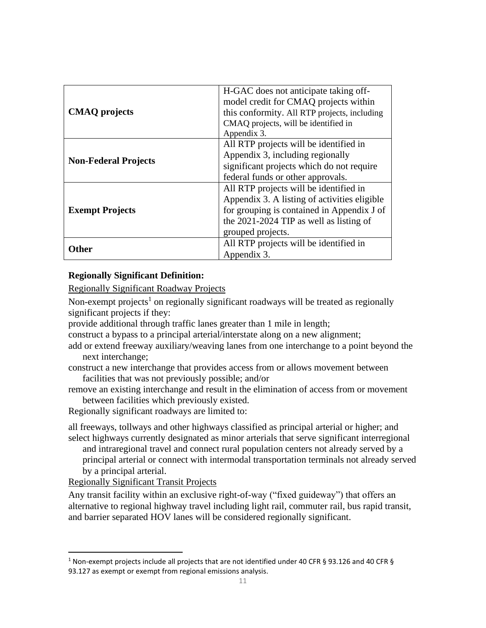|                             | H-GAC does not anticipate taking off-<br>model credit for CMAQ projects within |
|-----------------------------|--------------------------------------------------------------------------------|
| <b>CMAQ</b> projects        | this conformity. All RTP projects, including                                   |
|                             | CMAQ projects, will be identified in                                           |
|                             | Appendix 3.                                                                    |
|                             | All RTP projects will be identified in                                         |
| <b>Non-Federal Projects</b> | Appendix 3, including regionally                                               |
|                             | significant projects which do not require                                      |
|                             | federal funds or other approvals.                                              |
|                             | All RTP projects will be identified in                                         |
|                             | Appendix 3. A listing of activities eligible                                   |
| <b>Exempt Projects</b>      | for grouping is contained in Appendix J of                                     |
|                             | the 2021-2024 TIP as well as listing of                                        |
|                             | grouped projects.                                                              |
|                             | All RTP projects will be identified in                                         |
| )ther                       | Appendix 3.                                                                    |

#### **Regionally Significant Definition:**

Regionally Significant Roadway Projects

Non-exempt projects<sup>1</sup> on regionally significant roadways will be treated as regionally significant projects if they:

provide additional through traffic lanes greater than 1 mile in length;

construct a bypass to a principal arterial/interstate along on a new alignment;

add or extend freeway auxiliary/weaving lanes from one interchange to a point beyond the next interchange;

construct a new interchange that provides access from or allows movement between facilities that was not previously possible; and/or

remove an existing interchange and result in the elimination of access from or movement between facilities which previously existed.

Regionally significant roadways are limited to:

all freeways, tollways and other highways classified as principal arterial or higher; and select highways currently designated as minor arterials that serve significant interregional

and intraregional travel and connect rural population centers not already served by a principal arterial or connect with intermodal transportation terminals not already served by a principal arterial.

Regionally Significant Transit Projects

Any transit facility within an exclusive right-of-way ("fixed guideway") that offers an alternative to regional highway travel including light rail, commuter rail, bus rapid transit, and barrier separated HOV lanes will be considered regionally significant.

<sup>1</sup> Non-exempt projects include all projects that are not identified under 40 CFR § 93.126 and 40 CFR § 93.127 as exempt or exempt from regional emissions analysis.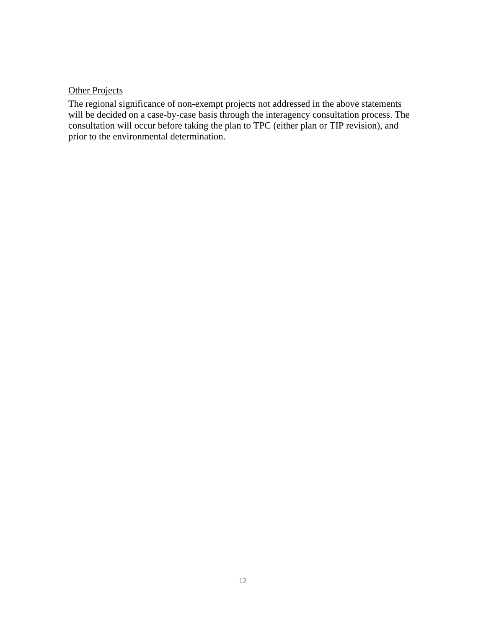# **Other Projects**

The regional significance of non-exempt projects not addressed in the above statements will be decided on a case-by-case basis through the interagency consultation process. The consultation will occur before taking the plan to TPC (either plan or TIP revision), and prior to the environmental determination.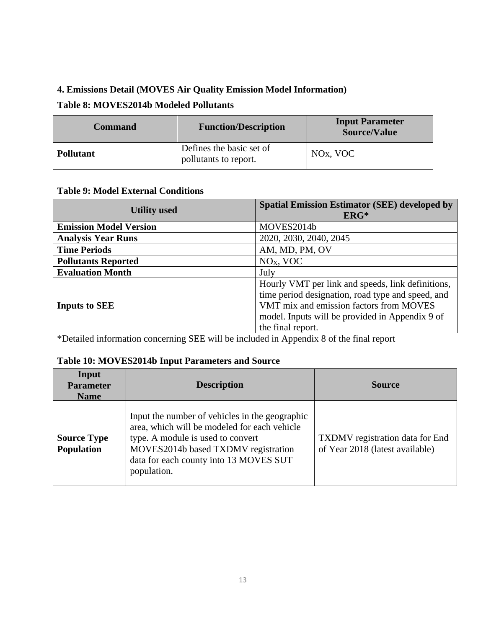# **4. Emissions Detail (MOVES Air Quality Emission Model Information)**

# **Table 8: MOVES2014b Modeled Pollutants**

| <b>Command</b>   | <b>Function/Description</b>                       | <b>Input Parameter</b><br><b>Source/Value</b> |
|------------------|---------------------------------------------------|-----------------------------------------------|
| <b>Pollutant</b> | Defines the basic set of<br>pollutants to report. | NO <sub>x</sub> , VOC                         |

#### **Table 9: Model External Conditions**

| <b>Utility used</b>           | <b>Spatial Emission Estimator (SEE) developed by</b><br>$ERG*$                                                                                                                                                            |
|-------------------------------|---------------------------------------------------------------------------------------------------------------------------------------------------------------------------------------------------------------------------|
| <b>Emission Model Version</b> | MOVES2014b                                                                                                                                                                                                                |
| <b>Analysis Year Runs</b>     | 2020, 2030, 2040, 2045                                                                                                                                                                                                    |
| <b>Time Periods</b>           | AM, MD, PM, OV                                                                                                                                                                                                            |
| <b>Pollutants Reported</b>    | $NOX$ , VOC                                                                                                                                                                                                               |
| <b>Evaluation Month</b>       | July                                                                                                                                                                                                                      |
| <b>Inputs to SEE</b>          | Hourly VMT per link and speeds, link definitions,<br>time period designation, road type and speed, and<br>VMT mix and emission factors from MOVES<br>model. Inputs will be provided in Appendix 9 of<br>the final report. |

\*Detailed information concerning SEE will be included in Appendix 8 of the final report

#### **Table 10: MOVES2014b Input Parameters and Source**

| Input<br><b>Parameter</b><br><b>Name</b> | <b>Description</b>                                                                                                                                                                                                                  | <b>Source</b>                                                             |
|------------------------------------------|-------------------------------------------------------------------------------------------------------------------------------------------------------------------------------------------------------------------------------------|---------------------------------------------------------------------------|
| <b>Source Type</b><br><b>Population</b>  | Input the number of vehicles in the geographic<br>area, which will be modeled for each vehicle<br>type. A module is used to convert<br>MOVES2014b based TXDMV registration<br>data for each county into 13 MOVES SUT<br>population. | <b>TXDMV</b> registration data for End<br>of Year 2018 (latest available) |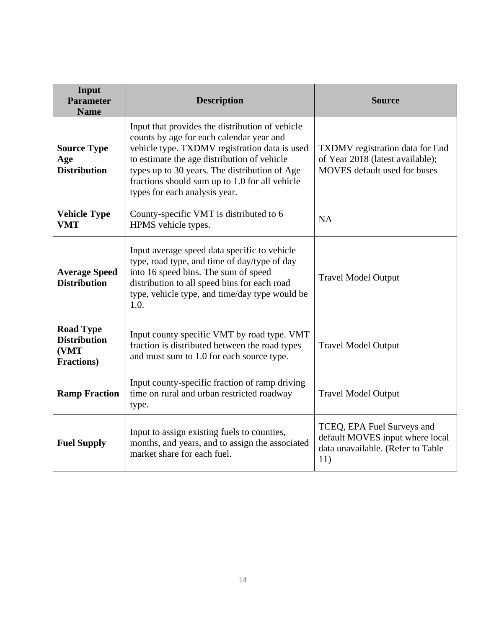| Input<br><b>Parameter</b><br><b>Name</b>                              | <b>Description</b>                                                                                                                                                                                                                                                                                                              | <b>Source</b>                                                                                              |
|-----------------------------------------------------------------------|---------------------------------------------------------------------------------------------------------------------------------------------------------------------------------------------------------------------------------------------------------------------------------------------------------------------------------|------------------------------------------------------------------------------------------------------------|
| <b>Source Type</b><br>Age<br><b>Distribution</b>                      | Input that provides the distribution of vehicle<br>counts by age for each calendar year and<br>vehicle type. TXDMV registration data is used<br>to estimate the age distribution of vehicle<br>types up to 30 years. The distribution of Age<br>fractions should sum up to 1.0 for all vehicle<br>types for each analysis year. | TXDMV registration data for End<br>of Year 2018 (latest available);<br><b>MOVES</b> default used for buses |
| <b>Vehicle Type</b><br><b>VMT</b>                                     | County-specific VMT is distributed to 6<br>HPMS vehicle types.                                                                                                                                                                                                                                                                  | NA                                                                                                         |
| <b>Average Speed</b><br><b>Distribution</b>                           | Input average speed data specific to vehicle<br>type, road type, and time of day/type of day<br>into 16 speed bins. The sum of speed<br>distribution to all speed bins for each road<br>type, vehicle type, and time/day type would be<br>1.0.                                                                                  | <b>Travel Model Output</b>                                                                                 |
| <b>Road Type</b><br><b>Distribution</b><br>(VMT<br><b>Fractions</b> ) | Input county specific VMT by road type. VMT<br>fraction is distributed between the road types<br>and must sum to 1.0 for each source type.                                                                                                                                                                                      | <b>Travel Model Output</b>                                                                                 |
| <b>Ramp Fraction</b>                                                  | Input county-specific fraction of ramp driving<br>time on rural and urban restricted roadway<br>type.                                                                                                                                                                                                                           | <b>Travel Model Output</b>                                                                                 |
| <b>Fuel Supply</b>                                                    | Input to assign existing fuels to counties,<br>months, and years, and to assign the associated<br>market share for each fuel.                                                                                                                                                                                                   | TCEQ, EPA Fuel Surveys and<br>default MOVES input where local<br>data unavailable. (Refer to Table<br>11)  |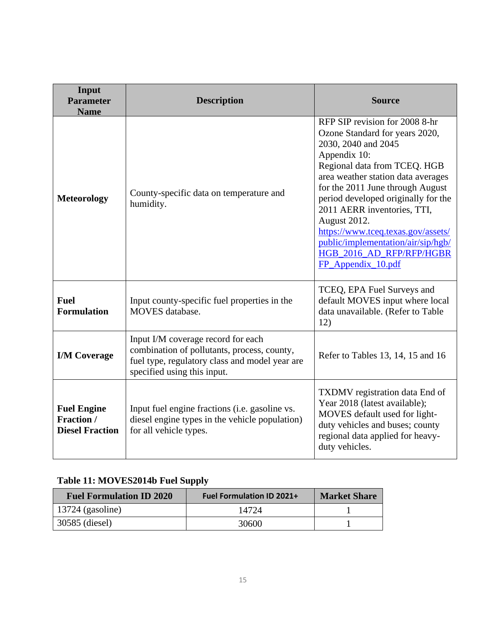| Input<br><b>Parameter</b><br><b>Name</b>                          | <b>Description</b>                                                                                                                                                 | <b>Source</b>                                                                                                                                                                                                                                                                                                                                                                                                                         |  |
|-------------------------------------------------------------------|--------------------------------------------------------------------------------------------------------------------------------------------------------------------|---------------------------------------------------------------------------------------------------------------------------------------------------------------------------------------------------------------------------------------------------------------------------------------------------------------------------------------------------------------------------------------------------------------------------------------|--|
| <b>Meteorology</b>                                                | County-specific data on temperature and<br>humidity.                                                                                                               | RFP SIP revision for 2008 8-hr<br>Ozone Standard for years 2020,<br>2030, 2040 and 2045<br>Appendix 10:<br>Regional data from TCEQ. HGB<br>area weather station data averages<br>for the 2011 June through August<br>period developed originally for the<br>2011 AERR inventories, TTI,<br>August 2012.<br>https://www.tceq.texas.gov/assets/<br>public/implementation/air/sip/hgb/<br>HGB_2016_AD_RFP/RFP/HGBR<br>FP_Appendix_10.pdf |  |
| <b>Fuel</b><br><b>Formulation</b>                                 | Input county-specific fuel properties in the<br>MOVES database.                                                                                                    | TCEQ, EPA Fuel Surveys and<br>default MOVES input where local<br>data unavailable. (Refer to Table<br>12)                                                                                                                                                                                                                                                                                                                             |  |
| <b>I/M Coverage</b>                                               | Input I/M coverage record for each<br>combination of pollutants, process, county,<br>fuel type, regulatory class and model year are<br>specified using this input. | Refer to Tables 13, 14, 15 and 16                                                                                                                                                                                                                                                                                                                                                                                                     |  |
| <b>Fuel Engine</b><br><b>Fraction</b> /<br><b>Diesel Fraction</b> | Input fuel engine fractions (i.e. gasoline vs.<br>diesel engine types in the vehicle population)<br>for all vehicle types.                                         | TXDMV registration data End of<br>Year 2018 (latest available);<br>MOVES default used for light-<br>duty vehicles and buses; county<br>regional data applied for heavy-<br>duty vehicles.                                                                                                                                                                                                                                             |  |

# **Table 11: MOVES2014b Fuel Supply**

| <b>Fuel Formulation ID 2020</b> | <b>Fuel Formulation ID 2021+</b> | <b>Market Share</b> |
|---------------------------------|----------------------------------|---------------------|
| 13724 (gasoline)                | 14724                            |                     |
| 30585 (diesel)                  | 30600                            |                     |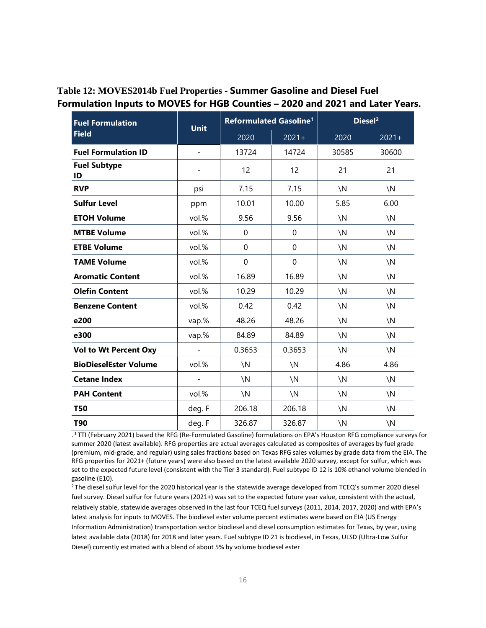| <b>Fuel Formulation</b>      | <b>Unit</b> | Reformulated Gasoline <sup>1</sup> |               | Diesel <sup>2</sup> |               |
|------------------------------|-------------|------------------------------------|---------------|---------------------|---------------|
| <b>Field</b>                 |             | 2020                               | $2021 +$      | 2020                | $2021 +$      |
| <b>Fuel Formulation ID</b>   |             | 13724                              | 14724         | 30585               | 30600         |
| <b>Fuel Subtype</b><br>ID    |             | 12                                 | 12            | 21                  | 21            |
| <b>RVP</b>                   | psi         | 7.15                               | 7.15          | $\setminus N$       | $\setminus N$ |
| <b>Sulfur Level</b>          | ppm         | 10.01                              | 10.00         | 5.85                | 6.00          |
| <b>ETOH Volume</b>           | vol.%       | 9.56                               | 9.56          | $\setminus N$       | $\setminus N$ |
| <b>MTBE Volume</b>           | vol.%       | 0                                  | $\mathbf 0$   | $\setminus N$       | $\setminus N$ |
| <b>ETBE Volume</b>           | vol.%       | 0                                  | $\mathbf 0$   | $\setminus N$       | $\setminus N$ |
| <b>TAME Volume</b>           | vol.%       | 0                                  | $\mathbf 0$   | $\setminus N$       | $\setminus N$ |
| <b>Aromatic Content</b>      | vol.%       | 16.89                              | 16.89         | $\setminus N$       | $\setminus N$ |
| <b>Olefin Content</b>        | vol.%       | 10.29                              | 10.29         | $\setminus N$       | $\setminus N$ |
| <b>Benzene Content</b>       | vol.%       | 0.42                               | 0.42          | $\setminus N$       | $\setminus N$ |
| e200                         | vap.%       | 48.26                              | 48.26         | $\setminus N$       | $\setminus N$ |
| e300                         | vap.%       | 84.89                              | 84.89         | $\setminus N$       | $\setminus N$ |
| <b>Vol to Wt Percent Oxy</b> |             | 0.3653                             | 0.3653        | $\setminus N$       | $\setminus N$ |
| <b>BioDieselEster Volume</b> | vol.%       | $\setminus N$                      | $\setminus N$ | 4.86                | 4.86          |
| <b>Cetane Index</b>          |             | $\setminus N$                      | $\setminus N$ | $\setminus N$       | $\setminus N$ |
| <b>PAH Content</b>           | vol.%       | $\setminus N$                      | $\setminus N$ | $\setminus N$       | $\setminus N$ |
| <b>T50</b>                   | deg. F      | 206.18                             | 206.18        | $\setminus N$       | $\setminus N$ |
| T90                          | deg. F      | 326.87                             | 326.87        | $\setminus N$       | $\setminus N$ |

# **Table 12: MOVES2014b Fuel Properties - Summer Gasoline and Diesel Fuel Formulation Inputs to MOVES for HGB Counties – 2020 and 2021 and Later Years.**

. <sup>1</sup>TTI (February 2021) based the RFG (Re-Formulated Gasoline) formulations on EPA's Houston RFG compliance surveys for summer 2020 (latest available). RFG properties are actual averages calculated as composites of averages by fuel grade (premium, mid-grade, and regular) using sales fractions based on Texas RFG sales volumes by grade data from the EIA. The RFG properties for 2021+ (future years) were also based on the latest available 2020 survey, except for sulfur, which was set to the expected future level (consistent with the Tier 3 standard). Fuel subtype ID 12 is 10% ethanol volume blended in gasoline (E10).

<sup>2</sup>The diesel sulfur level for the 2020 historical year is the statewide average developed from TCEQ's summer 2020 diesel fuel survey. Diesel sulfur for future years (2021+) was set to the expected future year value, consistent with the actual, relatively stable, statewide averages observed in the last four TCEQ fuel surveys (2011, 2014, 2017, 2020) and with EPA's latest analysis for inputs to MOVES. The biodiesel ester volume percent estimates were based on EIA (US Energy Information Administration) transportation sector biodiesel and diesel consumption estimates for Texas, by year, using latest available data (2018) for 2018 and later years. Fuel subtype ID 21 is biodiesel, in Texas, ULSD (Ultra-Low Sulfur Diesel) currently estimated with a blend of about 5% by volume biodiesel ester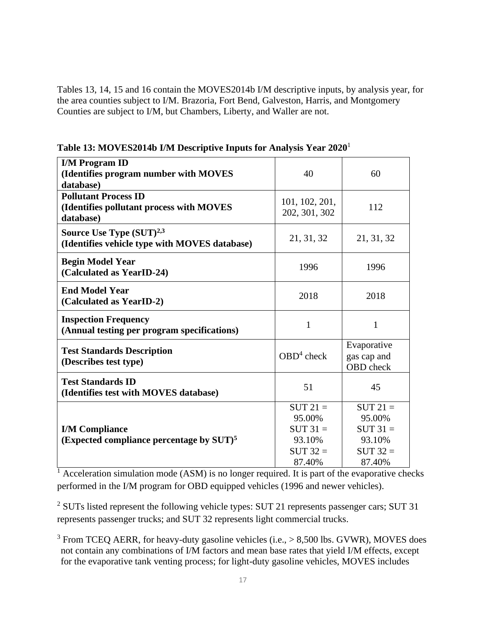Tables 13, 14, 15 and 16 contain the MOVES2014b I/M descriptive inputs, by analysis year, for the area counties subject to I/M. Brazoria, Fort Bend, Galveston, Harris, and Montgomery Counties are subject to I/M, but Chambers, Liberty, and Waller are not.

**Table 13: MOVES2014b I/M Descriptive Inputs for Analysis Year 2020**<sup>1</sup>

| <b>I/M Program ID</b><br>(Identifies program number with MOVES<br>database)           | 40                                 | 60                                             |
|---------------------------------------------------------------------------------------|------------------------------------|------------------------------------------------|
| <b>Pollutant Process ID</b><br>(Identifies pollutant process with MOVES<br>database)  | 101, 102, 201,<br>202, 301, 302    | 112                                            |
| Source Use Type (SUT) <sup>2,3</sup><br>(Identifies vehicle type with MOVES database) | 21, 31, 32                         | 21, 31, 32                                     |
| <b>Begin Model Year</b><br>(Calculated as YearID-24)                                  | 1996                               | 1996                                           |
| <b>End Model Year</b><br>(Calculated as YearID-2)                                     | 2018                               | 2018                                           |
| <b>Inspection Frequency</b><br>(Annual testing per program specifications)            | 1                                  | 1                                              |
| <b>Test Standards Description</b><br>(Describes test type)                            | $OBD4$ check                       | Evaporative<br>gas cap and<br><b>OBD</b> check |
| <b>Test Standards ID</b><br>(Identifies test with MOVES database)                     | 51                                 | 45                                             |
| <b>I/M Compliance</b>                                                                 | $SUT 21 =$<br>95.00%<br>$SUT 31 =$ | $SUT 21 =$<br>95.00%<br>$SUT 31 =$             |
| (Expected compliance percentage by $SUT$ ) <sup>5</sup>                               | 93.10%<br>$SUT 32 =$<br>87.40%     | 93.10%<br>$SUT 32 =$<br>87.40%                 |

 $\frac{1}{1}$  Acceleration simulation mode (ASM) is no longer required. It is part of the evaporative checks performed in the I/M program for OBD equipped vehicles (1996 and newer vehicles).

<sup>2</sup> SUTs listed represent the following vehicle types: SUT 21 represents passenger cars; SUT 31 represents passenger trucks; and SUT 32 represents light commercial trucks.

 $3$  From TCEQ AERR, for heavy-duty gasoline vehicles (i.e.,  $> 8,500$  lbs. GVWR), MOVES does not contain any combinations of I/M factors and mean base rates that yield I/M effects, except for the evaporative tank venting process; for light-duty gasoline vehicles, MOVES includes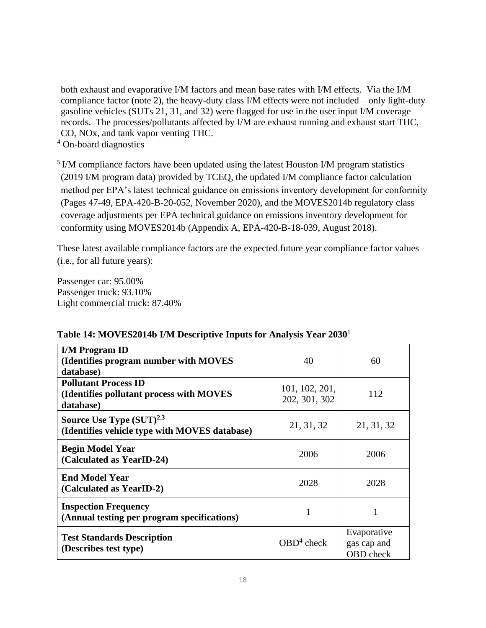both exhaust and evaporative I/M factors and mean base rates with I/M effects. Via the I/M compliance factor (note 2), the heavy-duty class I/M effects were not included – only light-duty gasoline vehicles (SUTs 21, 31, and 32) were flagged for use in the user input I/M coverage records. The processes/pollutants affected by I/M are exhaust running and exhaust start THC, CO, NOx, and tank vapor venting THC.

<sup>4</sup> On-board diagnostics

 $<sup>5</sup>$  I/M compliance factors have been updated using the latest Houston I/M program statistics</sup> (2019 I/M program data) provided by TCEQ, the updated I/M compliance factor calculation method per EPA's latest technical guidance on emissions inventory development for conformity (Pages 47-49, EPA-420-B-20-052, November 2020), and the MOVES2014b regulatory class coverage adjustments per EPA technical guidance on emissions inventory development for conformity using MOVES2014b (Appendix A, EPA-420-B-18-039, August 2018).

These latest available compliance factors are the expected future year compliance factor values (i.e., for all future years):

Passenger car: 95.00% Passenger truck: 93.10% Light commercial truck: 87.40%

| <b>I/M Program ID</b>                                                          |                |                                                |
|--------------------------------------------------------------------------------|----------------|------------------------------------------------|
| (Identifies program number with MOVES                                          | 40             | 60                                             |
| database)                                                                      |                |                                                |
| <b>Pollutant Process ID</b>                                                    | 101, 102, 201, |                                                |
| (Identifies pollutant process with MOVES                                       | 202, 301, 302  | 112                                            |
| database)                                                                      |                |                                                |
| Source Use Type $(SUT)^{2,3}$<br>(Identifies vehicle type with MOVES database) | 21, 31, 32     | 21, 31, 32                                     |
|                                                                                |                |                                                |
| <b>Begin Model Year</b>                                                        | 2006           | 2006                                           |
| (Calculated as YearID-24)                                                      |                |                                                |
| <b>End Model Year</b>                                                          | 2028           | 2028                                           |
| (Calculated as YearID-2)                                                       |                |                                                |
| <b>Inspection Frequency</b><br>(Annual testing per program specifications)     |                | 1                                              |
| <b>Test Standards Description</b><br>(Describes test type)                     | $OBD4$ check   | Evaporative<br>gas cap and<br><b>OBD</b> check |

# **Table 14: MOVES2014b I/M Descriptive Inputs for Analysis Year 2030**<sup>1</sup>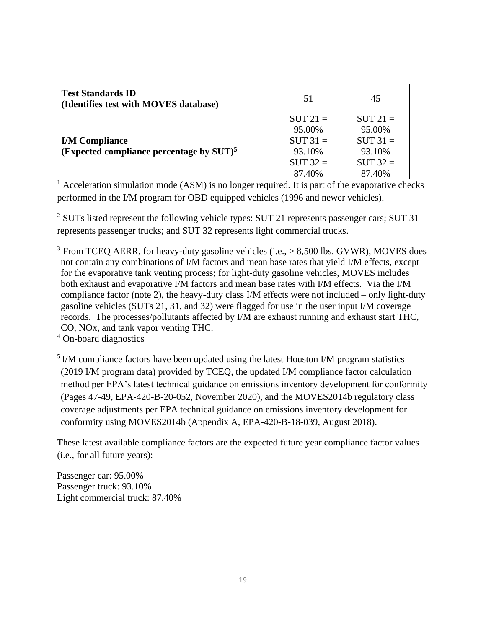| <b>Test Standards ID</b><br>(Identifies test with MOVES database)                | 51                                                                   | 45                                                                   |
|----------------------------------------------------------------------------------|----------------------------------------------------------------------|----------------------------------------------------------------------|
| <b>I/M Compliance</b><br>(Expected compliance percentage by $SUT$ ) <sup>5</sup> | $SUT 21 =$<br>95.00%<br>$SUT 31 =$<br>93.10%<br>$SUT 32 =$<br>87.40% | $SUT 21 =$<br>95.00%<br>$SUT 31 =$<br>93.10%<br>$SUT 32 =$<br>87.40% |

 $\frac{1}{1}$  Acceleration simulation mode (ASM) is no longer required. It is part of the evaporative checks performed in the I/M program for OBD equipped vehicles (1996 and newer vehicles).

<sup>2</sup> SUTs listed represent the following vehicle types: SUT 21 represents passenger cars; SUT 31 represents passenger trucks; and SUT 32 represents light commercial trucks.

 $3$  From TCEQ AERR, for heavy-duty gasoline vehicles (i.e.,  $> 8,500$  lbs. GVWR), MOVES does not contain any combinations of I/M factors and mean base rates that yield I/M effects, except for the evaporative tank venting process; for light-duty gasoline vehicles, MOVES includes both exhaust and evaporative I/M factors and mean base rates with I/M effects. Via the I/M compliance factor (note 2), the heavy-duty class I/M effects were not included – only light-duty gasoline vehicles (SUTs 21, 31, and 32) were flagged for use in the user input I/M coverage records. The processes/pollutants affected by I/M are exhaust running and exhaust start THC, CO, NOx, and tank vapor venting THC.

<sup>4</sup> On-board diagnostics

<sup>5</sup> I/M compliance factors have been updated using the latest Houston I/M program statistics (2019 I/M program data) provided by TCEQ, the updated I/M compliance factor calculation method per EPA's latest technical guidance on emissions inventory development for conformity (Pages 47-49, EPA-420-B-20-052, November 2020), and the MOVES2014b regulatory class coverage adjustments per EPA technical guidance on emissions inventory development for conformity using MOVES2014b (Appendix A, EPA-420-B-18-039, August 2018).

These latest available compliance factors are the expected future year compliance factor values (i.e., for all future years):

Passenger car: 95.00% Passenger truck: 93.10% Light commercial truck: 87.40%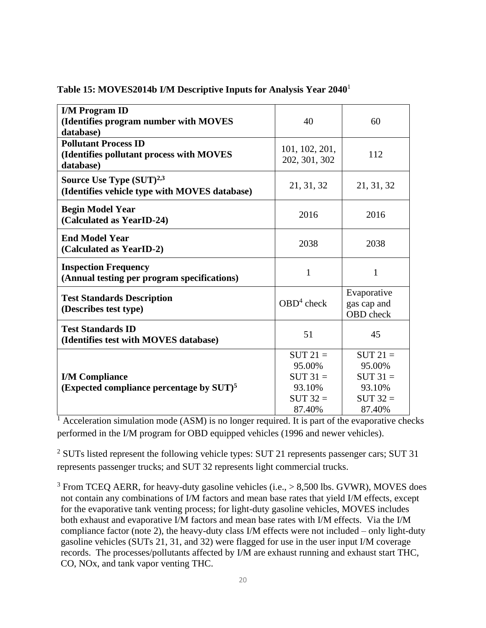| <b>I/M Program ID</b>                                |                |             |  |
|------------------------------------------------------|----------------|-------------|--|
| (Identifies program number with MOVES                | 40             | 60          |  |
| database)                                            |                |             |  |
| <b>Pollutant Process ID</b>                          |                |             |  |
| (Identifies pollutant process with MOVES             | 101, 102, 201, | 112         |  |
| database)                                            | 202, 301, 302  |             |  |
| Source Use Type $(SUT)^{2,3}$                        |                |             |  |
| (Identifies vehicle type with MOVES database)        | 21, 31, 32     | 21, 31, 32  |  |
|                                                      |                |             |  |
| <b>Begin Model Year</b>                              | 2016           | 2016        |  |
| (Calculated as YearID-24)                            |                |             |  |
| <b>End Model Year</b>                                |                |             |  |
| (Calculated as YearID-2)                             | 2038           | 2038        |  |
|                                                      |                |             |  |
| <b>Inspection Frequency</b>                          | 1              | 1           |  |
| (Annual testing per program specifications)          |                |             |  |
|                                                      |                | Evaporative |  |
| <b>Test Standards Description</b>                    | $OBD4$ check   | gas cap and |  |
| (Describes test type)                                |                | OBD check   |  |
| <b>Test Standards ID</b>                             |                |             |  |
| (Identifies test with MOVES database)                | 51             | 45          |  |
|                                                      | $SUT 21 =$     | $SUT 21 =$  |  |
|                                                      | 95.00%         | 95.00%      |  |
|                                                      | $SUT 31 =$     | $SUT 31 =$  |  |
| <b>I/M Compliance</b>                                | 93.10%         | 93.10%      |  |
| (Expected compliance percentage by SUT) <sup>5</sup> | $SUT 32 =$     | $SUT 32 =$  |  |
|                                                      |                |             |  |
|                                                      | 87.40%         | 87.40%      |  |

#### **Table 15: MOVES2014b I/M Descriptive Inputs for Analysis Year 2040**<sup>1</sup>

 $<sup>1</sup>$  Acceleration simulation mode (ASM) is no longer required. It is part of the evaporative checks</sup> performed in the I/M program for OBD equipped vehicles (1996 and newer vehicles).

<sup>2</sup> SUTs listed represent the following vehicle types: SUT 21 represents passenger cars; SUT 31 represents passenger trucks; and SUT 32 represents light commercial trucks.

 $3$  From TCEQ AERR, for heavy-duty gasoline vehicles (i.e.,  $> 8,500$  lbs. GVWR), MOVES does not contain any combinations of I/M factors and mean base rates that yield I/M effects, except for the evaporative tank venting process; for light-duty gasoline vehicles, MOVES includes both exhaust and evaporative I/M factors and mean base rates with I/M effects. Via the I/M compliance factor (note 2), the heavy-duty class I/M effects were not included – only light-duty gasoline vehicles (SUTs 21, 31, and 32) were flagged for use in the user input I/M coverage records. The processes/pollutants affected by I/M are exhaust running and exhaust start THC, CO, NOx, and tank vapor venting THC.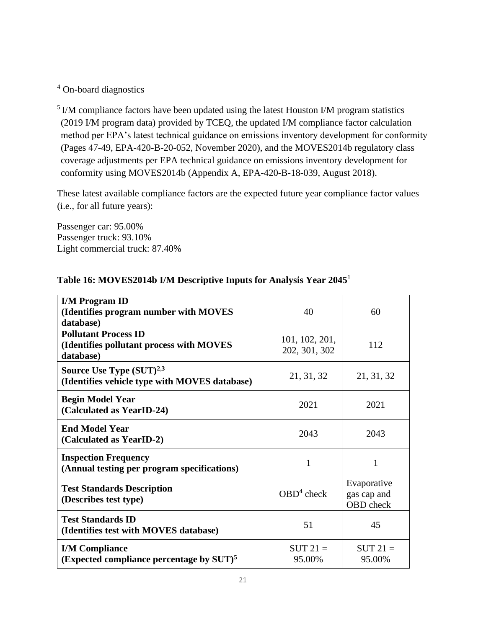<sup>4</sup> On-board diagnostics

 $<sup>5</sup>$  I/M compliance factors have been updated using the latest Houston I/M program statistics</sup> (2019 I/M program data) provided by TCEQ, the updated I/M compliance factor calculation method per EPA's latest technical guidance on emissions inventory development for conformity (Pages 47-49, EPA-420-B-20-052, November 2020), and the MOVES2014b regulatory class coverage adjustments per EPA technical guidance on emissions inventory development for conformity using MOVES2014b (Appendix A, EPA-420-B-18-039, August 2018).

These latest available compliance factors are the expected future year compliance factor values (i.e., for all future years):

Passenger car: 95.00% Passenger truck: 93.10% Light commercial truck: 87.40%

| <b>I/M Program ID</b><br>(Identifies program number with MOVES<br>database)          | 40                              | 60                                      |  |
|--------------------------------------------------------------------------------------|---------------------------------|-----------------------------------------|--|
| <b>Pollutant Process ID</b><br>(Identifies pollutant process with MOVES<br>database) | 101, 102, 201,<br>202, 301, 302 | 112                                     |  |
| Source Use Type $(SUT)^{2,3}$<br>(Identifies vehicle type with MOVES database)       | 21, 31, 32                      | 21, 31, 32                              |  |
| <b>Begin Model Year</b><br>(Calculated as YearID-24)                                 | 2021                            |                                         |  |
| <b>End Model Year</b><br>(Calculated as YearID-2)                                    | 2043                            | 2043                                    |  |
| <b>Inspection Frequency</b><br>(Annual testing per program specifications)           | 1                               | 1                                       |  |
| <b>Test Standards Description</b><br>(Describes test type)                           | $OBD4$ check                    | Evaporative<br>gas cap and<br>OBD check |  |
| <b>Test Standards ID</b><br>(Identifies test with MOVES database)                    | 51                              | 45                                      |  |
| <b>I/M Compliance</b><br>(Expected compliance percentage by $SUT$ ) <sup>5</sup>     | $SUT 21 =$<br>95.00%            | $SUT 21 =$<br>95.00%                    |  |

# **Table 16: MOVES2014b I/M Descriptive Inputs for Analysis Year 2045**<sup>1</sup>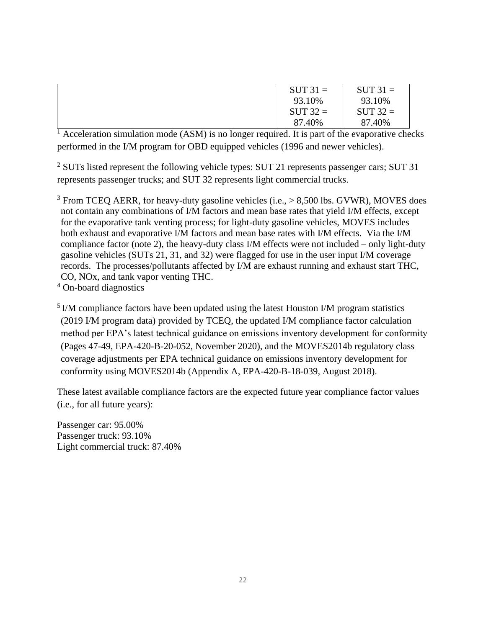| $SUT 31 =$ | $SUT 31 =$ |
|------------|------------|
| 93.10%     | 93.10%     |
| $SUT 32 =$ | $SUT 32 =$ |
| 87.40%     | 87.40%     |

 $\frac{1}{1}$  Acceleration simulation mode (ASM) is no longer required. It is part of the evaporative checks performed in the I/M program for OBD equipped vehicles (1996 and newer vehicles).

 $2$  SUTs listed represent the following vehicle types: SUT 21 represents passenger cars; SUT 31 represents passenger trucks; and SUT 32 represents light commercial trucks.

 $3$  From TCEQ AERR, for heavy-duty gasoline vehicles (i.e.,  $> 8,500$  lbs. GVWR), MOVES does not contain any combinations of I/M factors and mean base rates that yield I/M effects, except for the evaporative tank venting process; for light-duty gasoline vehicles, MOVES includes both exhaust and evaporative I/M factors and mean base rates with I/M effects. Via the I/M compliance factor (note 2), the heavy-duty class I/M effects were not included – only light-duty gasoline vehicles (SUTs 21, 31, and 32) were flagged for use in the user input I/M coverage records. The processes/pollutants affected by I/M are exhaust running and exhaust start THC, CO, NOx, and tank vapor venting THC.

<sup>4</sup> On-board diagnostics

<sup>5</sup> I/M compliance factors have been updated using the latest Houston I/M program statistics (2019 I/M program data) provided by TCEQ, the updated I/M compliance factor calculation method per EPA's latest technical guidance on emissions inventory development for conformity (Pages 47-49, EPA-420-B-20-052, November 2020), and the MOVES2014b regulatory class coverage adjustments per EPA technical guidance on emissions inventory development for conformity using MOVES2014b (Appendix A, EPA-420-B-18-039, August 2018).

These latest available compliance factors are the expected future year compliance factor values (i.e., for all future years):

Passenger car: 95.00% Passenger truck: 93.10% Light commercial truck: 87.40%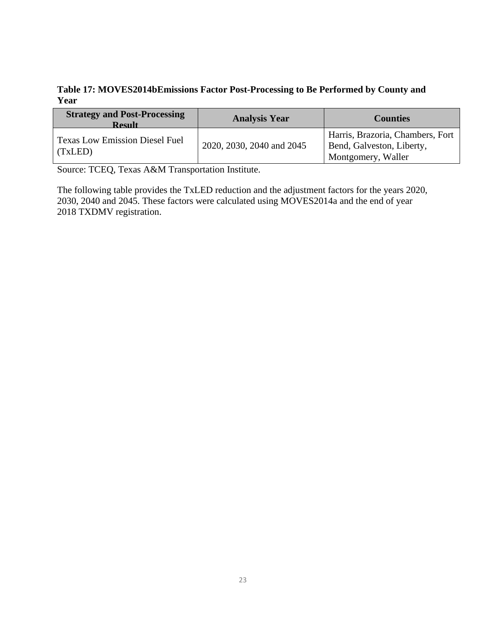# **Table 17: MOVES2014bEmissions Factor Post-Processing to Be Performed by County and Year**

| <b>Strategy and Post-Processing</b><br><b>Result</b> | <b>Analysis Year</b>      | <b>Counties</b>                                                                     |
|------------------------------------------------------|---------------------------|-------------------------------------------------------------------------------------|
| <b>Texas Low Emission Diesel Fuel</b><br>(TxLED)     | 2020, 2030, 2040 and 2045 | Harris, Brazoria, Chambers, Fort<br>Bend, Galveston, Liberty,<br>Montgomery, Waller |

Source: TCEQ, Texas A&M Transportation Institute.

The following table provides the TxLED reduction and the adjustment factors for the years 2020, 2030, 2040 and 2045. These factors were calculated using MOVES2014a and the end of year 2018 TXDMV registration.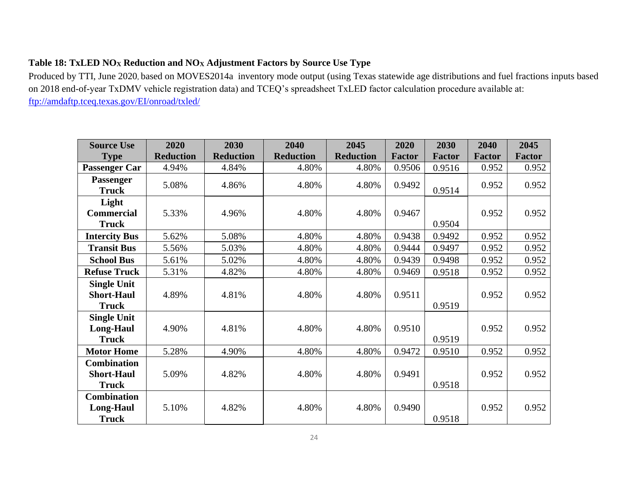# **Table 18: TxLED NO<sup>X</sup> Reduction and NO<sup>X</sup> Adjustment Factors by Source Use Type**

Produced by TTI, June 2020, based on MOVES2014a inventory mode output (using Texas statewide age distributions and fuel fractions inputs based on 2018 end-of-year TxDMV vehicle registration data) and TCEQ's spreadsheet TxLED factor calculation procedure available at: <ftp://amdaftp.tceq.texas.gov/EI/onroad/txled/>

| <b>Source Use</b>                                       | 2020             | 2030             | 2040             | 2045             | 2020          | 2030          | 2040          | 2045          |
|---------------------------------------------------------|------------------|------------------|------------------|------------------|---------------|---------------|---------------|---------------|
| <b>Type</b>                                             | <b>Reduction</b> | <b>Reduction</b> | <b>Reduction</b> | <b>Reduction</b> | <b>Factor</b> | <b>Factor</b> | <b>Factor</b> | <b>Factor</b> |
| <b>Passenger Car</b>                                    | 4.94%            | 4.84%            | 4.80%            | 4.80%            | 0.9506        | 0.9516        | 0.952         | 0.952         |
| <b>Passenger</b><br><b>Truck</b>                        | 5.08%            | 4.86%            | 4.80%            | 4.80%            | 0.9492        | 0.9514        | 0.952         | 0.952         |
| Light                                                   |                  |                  |                  |                  |               |               |               |               |
| <b>Commercial</b>                                       | 5.33%            | 4.96%            | 4.80%            | 4.80%            | 0.9467        |               | 0.952         | 0.952         |
| <b>Truck</b>                                            |                  |                  |                  |                  |               | 0.9504        |               |               |
| <b>Intercity Bus</b>                                    | 5.62%            | 5.08%            | 4.80%            | 4.80%            | 0.9438        | 0.9492        | 0.952         | 0.952         |
| <b>Transit Bus</b>                                      | 5.56%            | 5.03%            | 4.80%            | 4.80%            | 0.9444        | 0.9497        | 0.952         | 0.952         |
| <b>School Bus</b>                                       | 5.61%            | 5.02%            | 4.80%            | 4.80%            | 0.9439        | 0.9498        | 0.952         | 0.952         |
| <b>Refuse Truck</b>                                     | 5.31%            | 4.82%            | 4.80%            | 4.80%            | 0.9469        | 0.9518        | 0.952         | 0.952         |
| <b>Single Unit</b><br><b>Short-Haul</b><br><b>Truck</b> | 4.89%            | 4.81%            | 4.80%            | 4.80%            | 0.9511        | 0.9519        | 0.952         | 0.952         |
| <b>Single Unit</b><br><b>Long-Haul</b><br><b>Truck</b>  | 4.90%            | 4.81%            | 4.80%            | 4.80%            | 0.9510        | 0.9519        | 0.952         | 0.952         |
| <b>Motor Home</b>                                       | 5.28%            | 4.90%            | 4.80%            | 4.80%            | 0.9472        | 0.9510        | 0.952         | 0.952         |
| <b>Combination</b><br><b>Short-Haul</b><br><b>Truck</b> | 5.09%            | 4.82%            | 4.80%            | 4.80%            | 0.9491        | 0.9518        | 0.952         | 0.952         |
| <b>Combination</b><br><b>Long-Haul</b><br><b>Truck</b>  | 5.10%            | 4.82%            | 4.80%            | 4.80%            | 0.9490        | 0.9518        | 0.952         | 0.952         |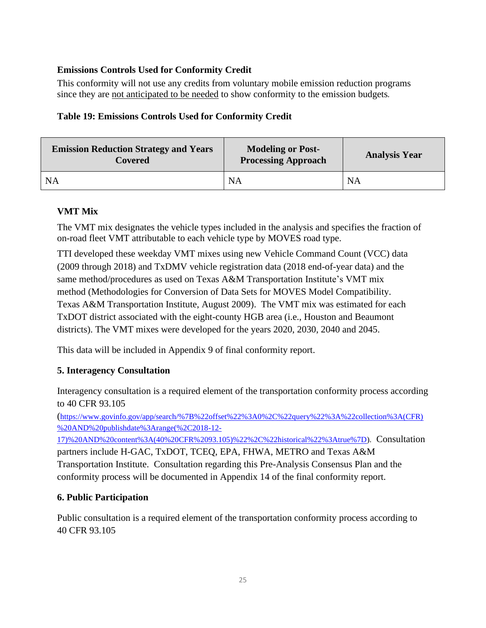# **Emissions Controls Used for Conformity Credit**

This conformity will not use any credits from voluntary mobile emission reduction programs since they are not anticipated to be needed to show conformity to the emission budgets*.*

# **Table 19: Emissions Controls Used for Conformity Credit**

| <b>Emission Reduction Strategy and Years</b><br><b>Covered</b> | <b>Modeling or Post-</b><br><b>Processing Approach</b> | <b>Analysis Year</b> |  |
|----------------------------------------------------------------|--------------------------------------------------------|----------------------|--|
| - NA                                                           | <b>NA</b>                                              | <b>NA</b>            |  |

# **VMT Mix**

The VMT mix designates the vehicle types included in the analysis and specifies the fraction of on-road fleet VMT attributable to each vehicle type by MOVES road type.

TTI developed these weekday VMT mixes using new Vehicle Command Count (VCC) data (2009 through 2018) and TxDMV vehicle registration data (2018 end-of-year data) and the same method/procedures as used on Texas A&M Transportation Institute's VMT mix method (Methodologies for Conversion of Data Sets for MOVES Model Compatibility. Texas A&M Transportation Institute, August 2009). The VMT mix was estimated for each TxDOT district associated with the eight-county HGB area (i.e., Houston and Beaumont districts). The VMT mixes were developed for the years 2020, 2030, 2040 and 2045.

This data will be included in Appendix 9 of final conformity report.

# **5. Interagency Consultation**

Interagency consultation is a required element of the transportation conformity process according to 40 CFR 93.105

([https://www.govinfo.gov/app/search/%7B%22offset%22%3A0%2C%22query%22%3A%22collection%3A\(CFR\)](https://www.govinfo.gov/app/search/%7B%22offset%22%3A0%2C%22query%22%3A%22collection%3A(CFR)%20AND%20publishdate%3Arange(%2C2018-12-17)%20AND%20content%3A(40%20CFR%2093.105)%22%2C%22historical%22%3Atrue%7D) [%20AND%20publishdate%3Arange\(%2C2018-12-](https://www.govinfo.gov/app/search/%7B%22offset%22%3A0%2C%22query%22%3A%22collection%3A(CFR)%20AND%20publishdate%3Arange(%2C2018-12-17)%20AND%20content%3A(40%20CFR%2093.105)%22%2C%22historical%22%3Atrue%7D)

[17\)%20AND%20content%3A\(40%20CFR%2093.105\)%22%2C%22historical%22%3Atrue%7D\)](https://www.govinfo.gov/app/search/%7B%22offset%22%3A0%2C%22query%22%3A%22collection%3A(CFR)%20AND%20publishdate%3Arange(%2C2018-12-17)%20AND%20content%3A(40%20CFR%2093.105)%22%2C%22historical%22%3Atrue%7D). Consultation partners include H-GAC, TxDOT, TCEQ, EPA, FHWA, METRO and Texas A&M Transportation Institute. Consultation regarding this Pre-Analysis Consensus Plan and the conformity process will be documented in Appendix 14 of the final conformity report.

# **6. Public Participation**

Public consultation is a required element of the transportation conformity process according to 40 CFR 93.105